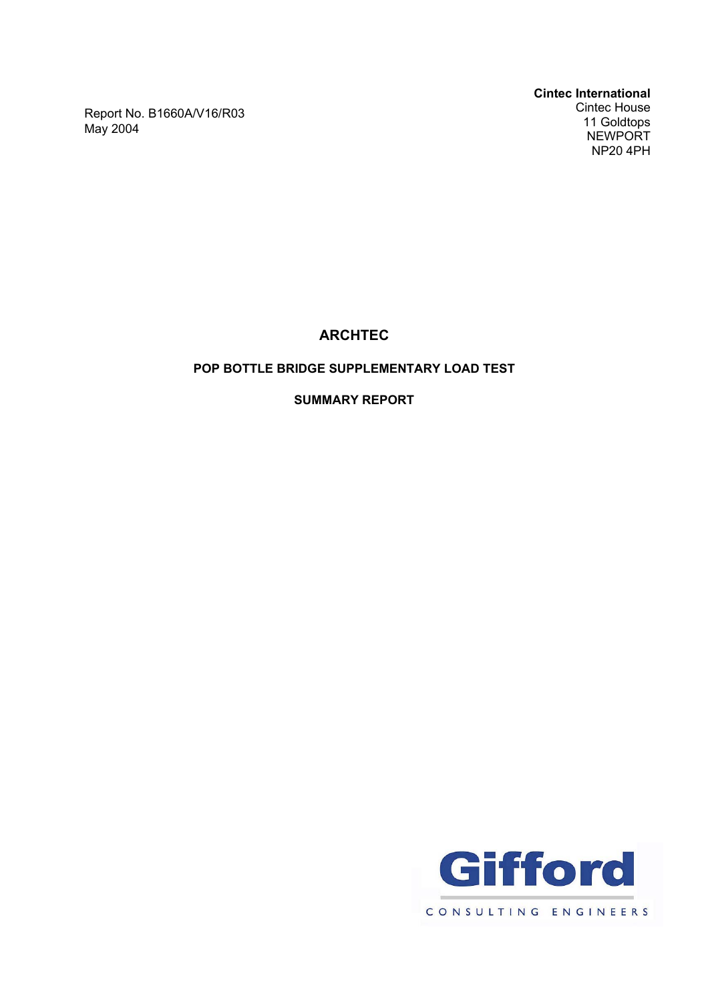Report No. B1660A/V16/R03 May 2004

**ARCHTEC**

# **POP BOTTLE BRIDGE SUPPLEMENTARY LOAD TEST**

**SUMMARY REPORT**

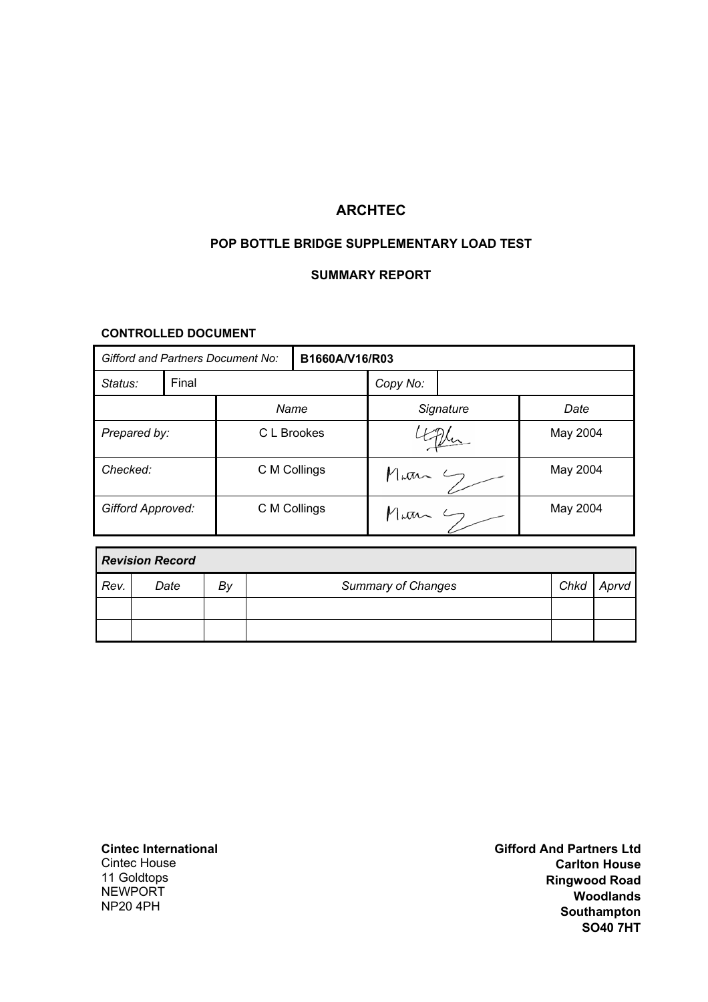# **ARCHTEC**

# **POP BOTTLE BRIDGE SUPPLEMENTARY LOAD TEST**

#### **SUMMARY REPORT**

### **CONTROLLED DOCUMENT**

| Gifford and Partners Document No: |       |              | B1660A/V16/R03 |                               |  |          |  |
|-----------------------------------|-------|--------------|----------------|-------------------------------|--|----------|--|
| Status:                           | Final |              |                | Copy No:                      |  |          |  |
|                                   |       | Name         |                | Signature                     |  | Date     |  |
| Prepared by:                      |       | C L Brookes  |                |                               |  | May 2004 |  |
| Checked:                          |       | C M Collings |                | Marn                          |  | May 2004 |  |
| <b>Gifford Approved:</b>          |       | C M Collings |                | $M_{\mu}a_{\nu}$ $\leftarrow$ |  | May 2004 |  |

| <b>Revision Record</b> |      |    |                           |      |       |  |  |
|------------------------|------|----|---------------------------|------|-------|--|--|
| Rev.                   | Date | By | <b>Summary of Changes</b> | Chkd | Aprvd |  |  |
|                        |      |    |                           |      |       |  |  |
|                        |      |    |                           |      |       |  |  |

**Cintec International**  Cintec House 11 Goldtops

**NEWPORT** NP20 4PH

**Gifford And Partners Ltd Carlton House Ringwood Road Woodlands Southampton SO40 7HT**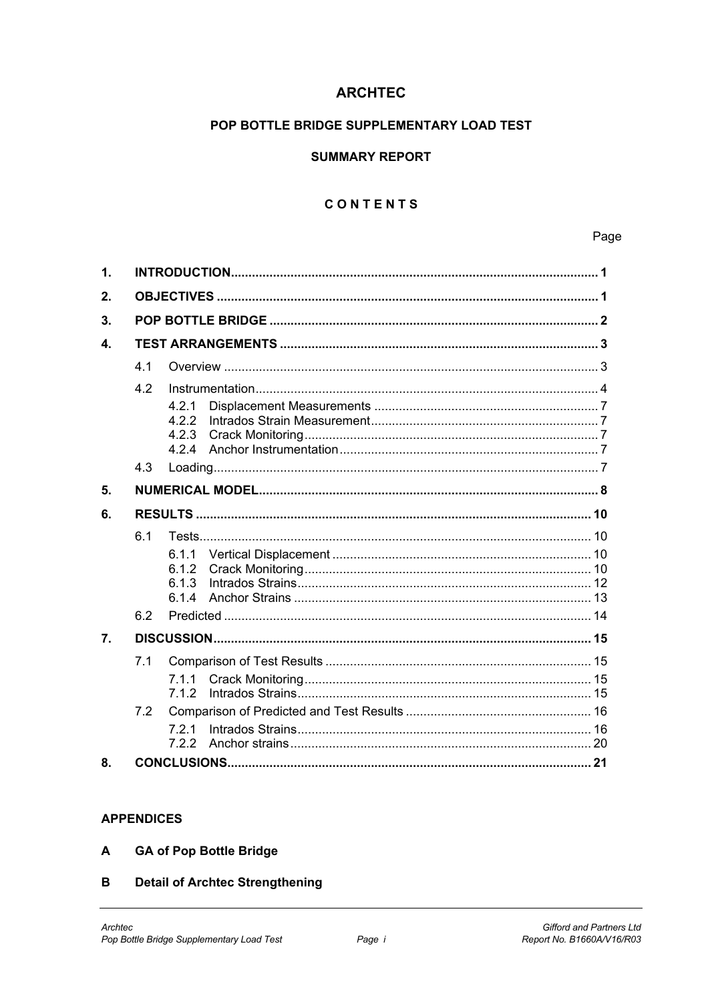# **ARCHTEC**

# POP BOTTLE BRIDGE SUPPLEMENTARY LOAD TEST

### **SUMMARY REPORT**

# CONTENTS

Page

| $\mathbf 1$  |     |                                  |  |  |  |  |  |
|--------------|-----|----------------------------------|--|--|--|--|--|
|              |     |                                  |  |  |  |  |  |
| 2.           |     |                                  |  |  |  |  |  |
| 3.           |     |                                  |  |  |  |  |  |
| $\mathbf{4}$ |     |                                  |  |  |  |  |  |
|              | 4.1 |                                  |  |  |  |  |  |
|              | 4.2 |                                  |  |  |  |  |  |
|              |     | 4.2.1<br>4.2.2<br>4.2.3<br>4.2.4 |  |  |  |  |  |
|              | 4.3 |                                  |  |  |  |  |  |
| 5.           |     |                                  |  |  |  |  |  |
| 6.           |     |                                  |  |  |  |  |  |
|              | 6.1 |                                  |  |  |  |  |  |
|              |     | 6.1.1<br>6.1.2<br>6.1.3<br>6.1.4 |  |  |  |  |  |
|              | 6.2 |                                  |  |  |  |  |  |
| 7.           |     |                                  |  |  |  |  |  |
|              | 7.1 |                                  |  |  |  |  |  |
|              |     | 7.1.1<br>7.1.2                   |  |  |  |  |  |
|              | 7.2 |                                  |  |  |  |  |  |
|              |     | 721<br>7.2.2                     |  |  |  |  |  |
| 8.           |     |                                  |  |  |  |  |  |

#### **APPENDICES**

- $\blacktriangle$ **GA of Pop Bottle Bridge**
- **Detail of Archtec Strengthening**  $\mathbf{B}$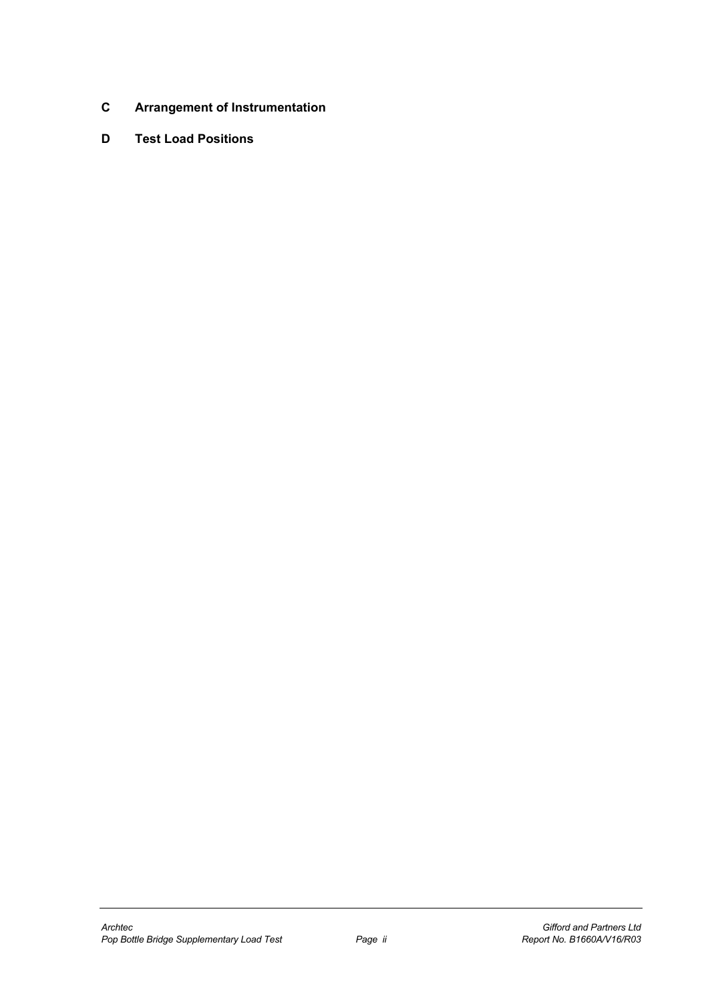- **C Arrangement of Instrumentation**
- **D Test Load Positions**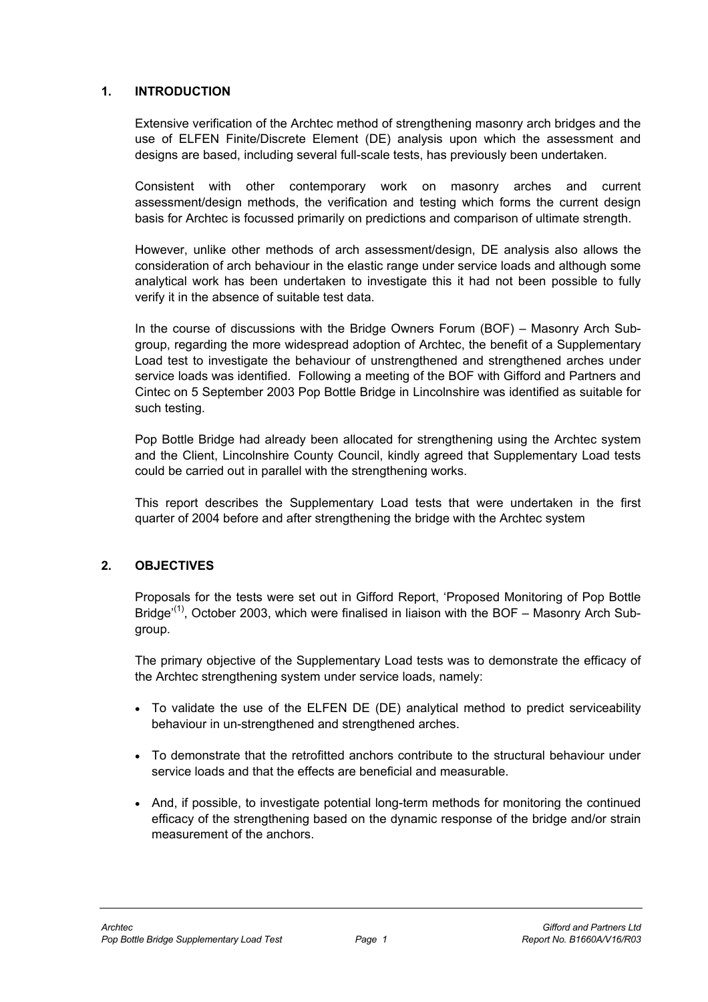### **1. INTRODUCTION**

Extensive verification of the Archtec method of strengthening masonry arch bridges and the use of ELFEN Finite/Discrete Element (DE) analysis upon which the assessment and designs are based, including several full-scale tests, has previously been undertaken.

Consistent with other contemporary work on masonry arches and current assessment/design methods, the verification and testing which forms the current design basis for Archtec is focussed primarily on predictions and comparison of ultimate strength.

However, unlike other methods of arch assessment/design, DE analysis also allows the consideration of arch behaviour in the elastic range under service loads and although some analytical work has been undertaken to investigate this it had not been possible to fully verify it in the absence of suitable test data.

In the course of discussions with the Bridge Owners Forum (BOF) – Masonry Arch Subgroup, regarding the more widespread adoption of Archtec, the benefit of a Supplementary Load test to investigate the behaviour of unstrengthened and strengthened arches under service loads was identified. Following a meeting of the BOF with Gifford and Partners and Cintec on 5 September 2003 Pop Bottle Bridge in Lincolnshire was identified as suitable for such testing.

Pop Bottle Bridge had already been allocated for strengthening using the Archtec system and the Client, Lincolnshire County Council, kindly agreed that Supplementary Load tests could be carried out in parallel with the strengthening works.

This report describes the Supplementary Load tests that were undertaken in the first quarter of 2004 before and after strengthening the bridge with the Archtec system

# **2. OBJECTIVES**

Proposals for the tests were set out in Gifford Report, 'Proposed Monitoring of Pop Bottle Bridge'<sup>(1)</sup>, October 2003, which were finalised in liaison with the BOF – Masonry Arch Subgroup.

The primary objective of the Supplementary Load tests was to demonstrate the efficacy of the Archtec strengthening system under service loads, namely:

- To validate the use of the ELFEN DE (DE) analytical method to predict serviceability behaviour in un-strengthened and strengthened arches.
- To demonstrate that the retrofitted anchors contribute to the structural behaviour under service loads and that the effects are beneficial and measurable.
- And, if possible, to investigate potential long-term methods for monitoring the continued efficacy of the strengthening based on the dynamic response of the bridge and/or strain measurement of the anchors.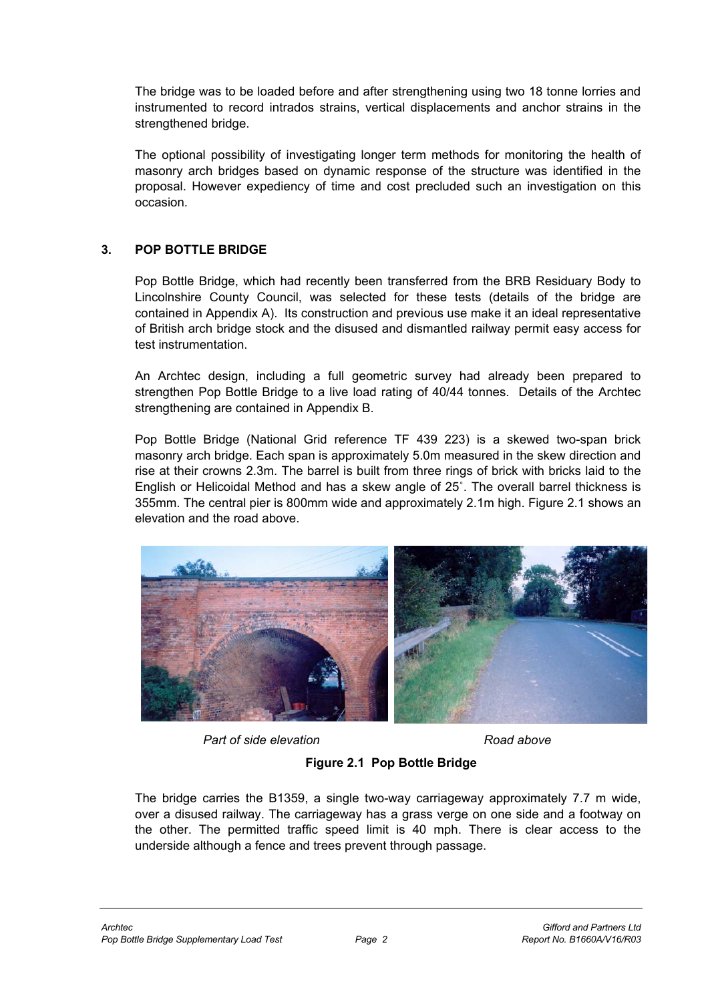The bridge was to be loaded before and after strengthening using two 18 tonne lorries and instrumented to record intrados strains, vertical displacements and anchor strains in the strengthened bridge.

The optional possibility of investigating longer term methods for monitoring the health of masonry arch bridges based on dynamic response of the structure was identified in the proposal. However expediency of time and cost precluded such an investigation on this occasion.

# **3. POP BOTTLE BRIDGE**

Pop Bottle Bridge, which had recently been transferred from the BRB Residuary Body to Lincolnshire County Council, was selected for these tests (details of the bridge are contained in Appendix A). Its construction and previous use make it an ideal representative of British arch bridge stock and the disused and dismantled railway permit easy access for test instrumentation.

An Archtec design, including a full geometric survey had already been prepared to strengthen Pop Bottle Bridge to a live load rating of 40/44 tonnes. Details of the Archtec strengthening are contained in Appendix B.

Pop Bottle Bridge (National Grid reference TF 439 223) is a skewed two-span brick masonry arch bridge. Each span is approximately 5.0m measured in the skew direction and rise at their crowns 2.3m. The barrel is built from three rings of brick with bricks laid to the English or Helicoidal Method and has a skew angle of 25˚. The overall barrel thickness is 355mm. The central pier is 800mm wide and approximately 2.1m high. Figure 2.1 shows an elevation and the road above.



*Part of side elevation* and *Part of side elevation* 

**Figure 2.1 Pop Bottle Bridge** 

The bridge carries the B1359, a single two-way carriageway approximately 7.7 m wide, over a disused railway. The carriageway has a grass verge on one side and a footway on the other. The permitted traffic speed limit is 40 mph. There is clear access to the underside although a fence and trees prevent through passage.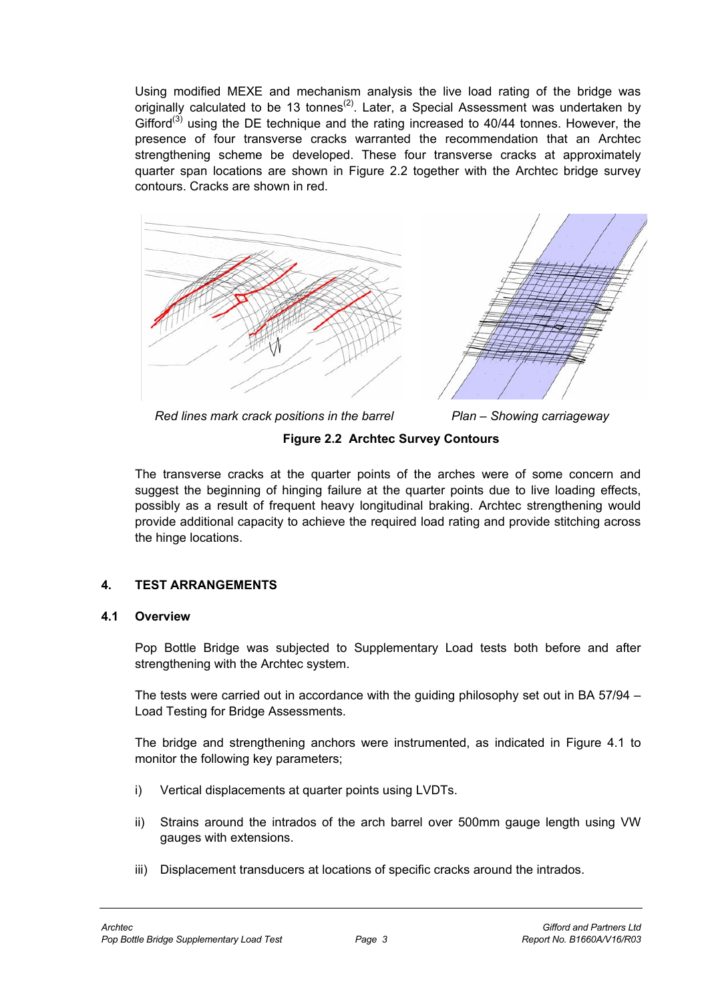Using modified MEXE and mechanism analysis the live load rating of the bridge was originally calculated to be 13 tonnes<sup>(2)</sup>. Later, a Special Assessment was undertaken by Gifford<sup>(3)</sup> using the DE technique and the rating increased to  $40/44$  tonnes. However, the presence of four transverse cracks warranted the recommendation that an Archtec strengthening scheme be developed. These four transverse cracks at approximately quarter span locations are shown in Figure 2.2 together with the Archtec bridge survey contours. Cracks are shown in red.



*Red lines mark crack positions in the barrel Plan – Showing carriageway* 

# **Figure 2.2 Archtec Survey Contours**

The transverse cracks at the quarter points of the arches were of some concern and suggest the beginning of hinging failure at the quarter points due to live loading effects, possibly as a result of frequent heavy longitudinal braking. Archtec strengthening would provide additional capacity to achieve the required load rating and provide stitching across the hinge locations.

# **4. TEST ARRANGEMENTS**

#### **4.1 Overview**

Pop Bottle Bridge was subjected to Supplementary Load tests both before and after strengthening with the Archtec system.

The tests were carried out in accordance with the guiding philosophy set out in BA 57/94 – Load Testing for Bridge Assessments.

The bridge and strengthening anchors were instrumented, as indicated in Figure 4.1 to monitor the following key parameters;

- i) Vertical displacements at quarter points using LVDTs.
- ii) Strains around the intrados of the arch barrel over 500mm gauge length using VW gauges with extensions.
- iii) Displacement transducers at locations of specific cracks around the intrados.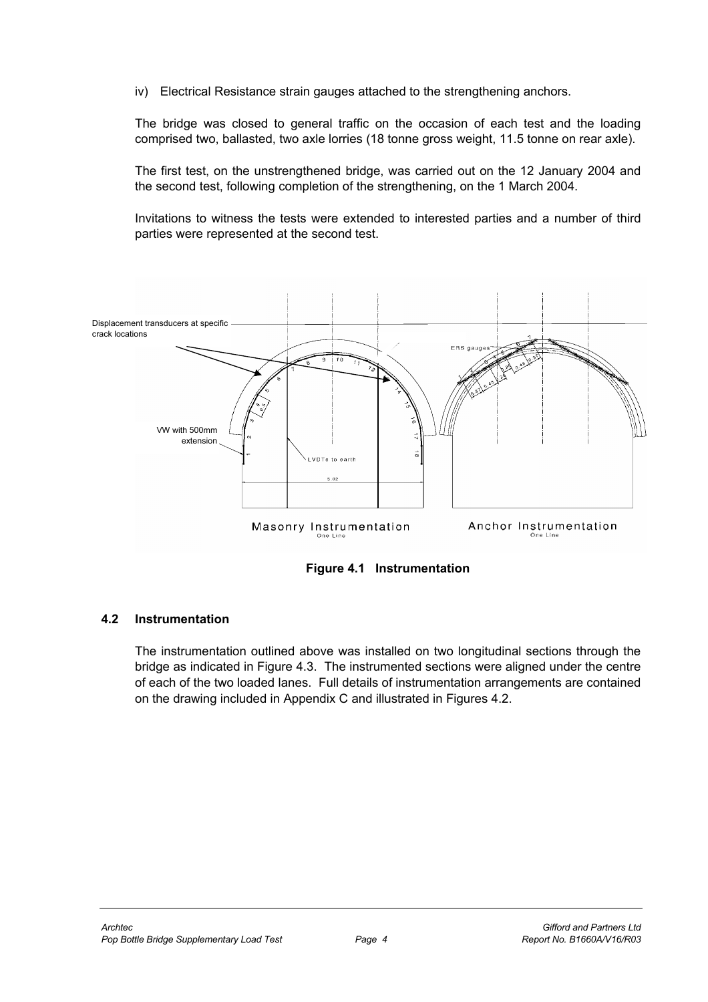iv) Electrical Resistance strain gauges attached to the strengthening anchors.

The bridge was closed to general traffic on the occasion of each test and the loading comprised two, ballasted, two axle lorries (18 tonne gross weight, 11.5 tonne on rear axle).

The first test, on the unstrengthened bridge, was carried out on the 12 January 2004 and the second test, following completion of the strengthening, on the 1 March 2004.

Invitations to witness the tests were extended to interested parties and a number of third parties were represented at the second test.



**Figure 4.1 Instrumentation** 

#### **4.2 Instrumentation**

The instrumentation outlined above was installed on two longitudinal sections through the bridge as indicated in Figure 4.3. The instrumented sections were aligned under the centre of each of the two loaded lanes. Full details of instrumentation arrangements are contained on the drawing included in Appendix C and illustrated in Figures 4.2.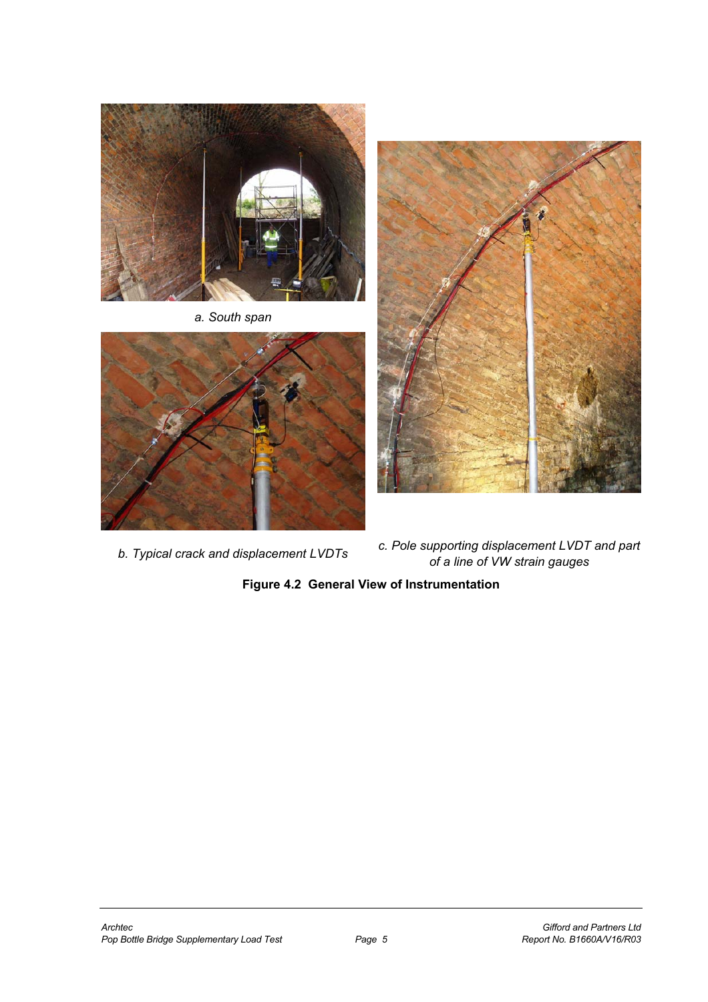

*a. South span* 





*b. Typical crack and displacement LVDTs c. Pole supporting displacement LVDT and part of a line of VW strain gauges* 

**Figure 4.2 General View of Instrumentation**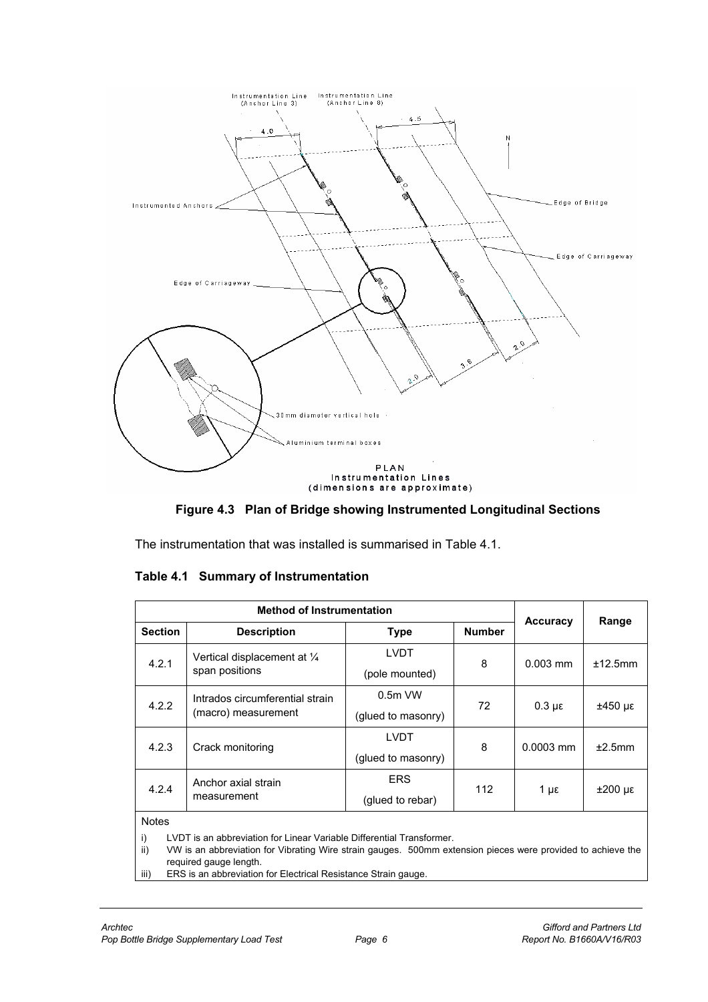

**Figure 4.3 Plan of Bridge showing Instrumented Longitudinal Sections** 

The instrumentation that was installed is summarised in Table 4.1.

|                                                                                                                                                                                                                          | <b>Method of Instrumentation</b>                       |                    |               |                   |                    |  |
|--------------------------------------------------------------------------------------------------------------------------------------------------------------------------------------------------------------------------|--------------------------------------------------------|--------------------|---------------|-------------------|--------------------|--|
| <b>Section</b>                                                                                                                                                                                                           | <b>Description</b>                                     | Type               | <b>Number</b> | <b>Accuracy</b>   | Range              |  |
| 4.2.1                                                                                                                                                                                                                    | Vertical displacement at 1/4                           | <b>LVDT</b>        | 8             | $0.003$ mm        | ±12.5mm            |  |
|                                                                                                                                                                                                                          | span positions                                         | (pole mounted)     |               |                   |                    |  |
| 4.2.2                                                                                                                                                                                                                    | Intrados circumferential strain<br>(macro) measurement | $0.5m$ VW          | 72            | $0.3 \mu\epsilon$ | ±450 με            |  |
|                                                                                                                                                                                                                          |                                                        | (glued to masonry) |               |                   |                    |  |
| 4.2.3                                                                                                                                                                                                                    | Crack monitoring                                       | <b>LVDT</b>        | 8             | $0.0003$ mm       | ±2.5mm             |  |
|                                                                                                                                                                                                                          |                                                        | (glued to masonry) |               |                   |                    |  |
| 4.2.4                                                                                                                                                                                                                    | Anchor axial strain                                    | <b>ERS</b>         | 112           | $1 \mu \epsilon$  | $±200 \mu\epsilon$ |  |
|                                                                                                                                                                                                                          | measurement                                            | (glued to rebar)   |               |                   |                    |  |
| <b>Notes</b>                                                                                                                                                                                                             |                                                        |                    |               |                   |                    |  |
| LVDT is an abbreviation for Linear Variable Differential Transformer.<br>i)<br>VW is an abbreviation for Vibrating Wire strain gauges. 500mm extension pieces were provided to achieve the<br>ii)<br>dtnad anına banındı |                                                        |                    |               |                   |                    |  |

#### **Table 4.1 Summary of Instrumentation**

required gauge length.

iii) ERS is an abbreviation for Electrical Resistance Strain gauge.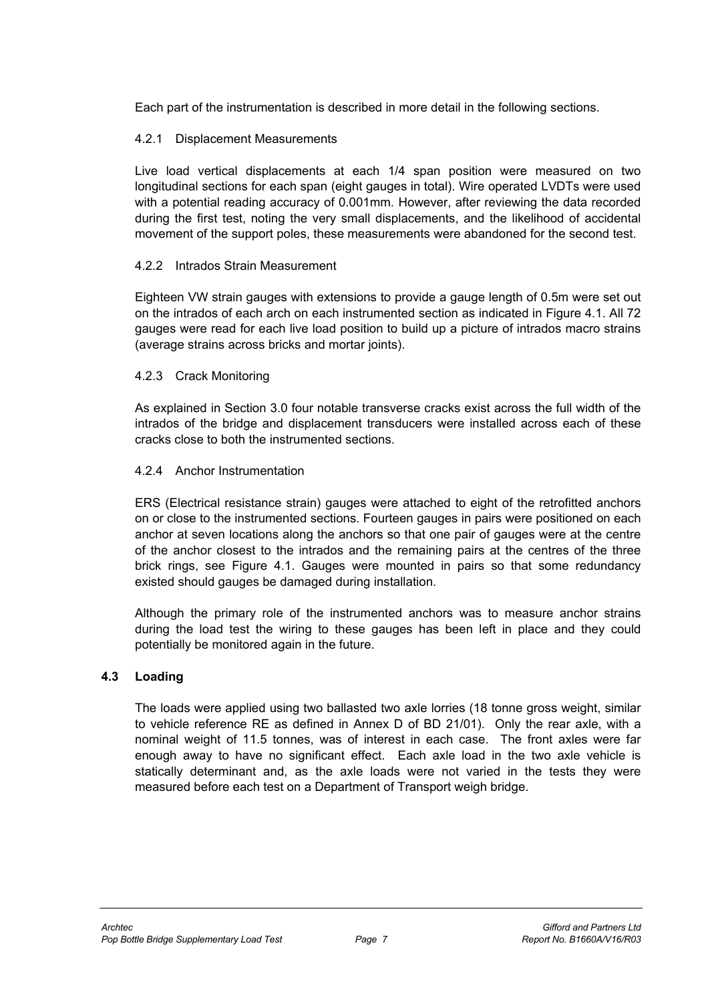Each part of the instrumentation is described in more detail in the following sections.

# 4.2.1 Displacement Measurements

Live load vertical displacements at each 1/4 span position were measured on two longitudinal sections for each span (eight gauges in total). Wire operated LVDTs were used with a potential reading accuracy of 0.001mm. However, after reviewing the data recorded during the first test, noting the very small displacements, and the likelihood of accidental movement of the support poles, these measurements were abandoned for the second test.

# 4.2.2 Intrados Strain Measurement

Eighteen VW strain gauges with extensions to provide a gauge length of 0.5m were set out on the intrados of each arch on each instrumented section as indicated in Figure 4.1. All 72 gauges were read for each live load position to build up a picture of intrados macro strains (average strains across bricks and mortar joints).

#### 4.2.3 Crack Monitoring

As explained in Section 3.0 four notable transverse cracks exist across the full width of the intrados of the bridge and displacement transducers were installed across each of these cracks close to both the instrumented sections.

# 4.2.4 Anchor Instrumentation

ERS (Electrical resistance strain) gauges were attached to eight of the retrofitted anchors on or close to the instrumented sections. Fourteen gauges in pairs were positioned on each anchor at seven locations along the anchors so that one pair of gauges were at the centre of the anchor closest to the intrados and the remaining pairs at the centres of the three brick rings, see Figure 4.1. Gauges were mounted in pairs so that some redundancy existed should gauges be damaged during installation.

Although the primary role of the instrumented anchors was to measure anchor strains during the load test the wiring to these gauges has been left in place and they could potentially be monitored again in the future.

#### **4.3 Loading**

The loads were applied using two ballasted two axle lorries (18 tonne gross weight, similar to vehicle reference RE as defined in Annex D of BD 21/01). Only the rear axle, with a nominal weight of 11.5 tonnes, was of interest in each case. The front axles were far enough away to have no significant effect. Each axle load in the two axle vehicle is statically determinant and, as the axle loads were not varied in the tests they were measured before each test on a Department of Transport weigh bridge.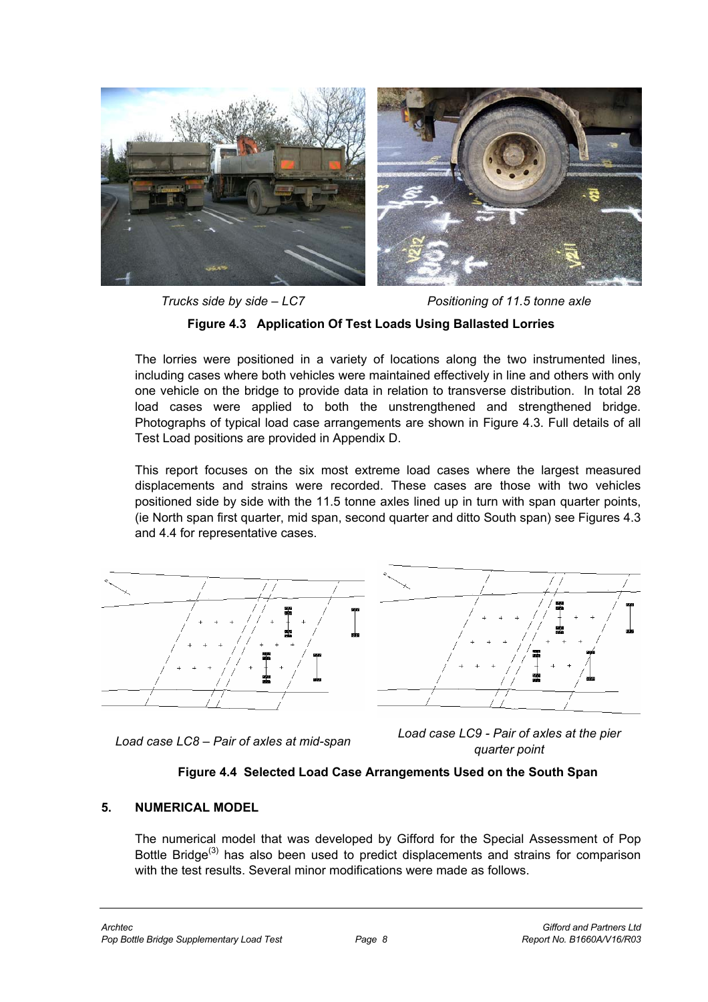

*Trucks side by side – LC7 Positioning of 11.5 tonne axle* 

#### **Figure 4.3 Application Of Test Loads Using Ballasted Lorries**

The lorries were positioned in a variety of locations along the two instrumented lines, including cases where both vehicles were maintained effectively in line and others with only one vehicle on the bridge to provide data in relation to transverse distribution. In total 28 load cases were applied to both the unstrengthened and strengthened bridge. Photographs of typical load case arrangements are shown in Figure 4.3. Full details of all Test Load positions are provided in Appendix D.

This report focuses on the six most extreme load cases where the largest measured displacements and strains were recorded. These cases are those with two vehicles positioned side by side with the 11.5 tonne axles lined up in turn with span quarter points, (ie North span first quarter, mid span, second quarter and ditto South span) see Figures 4.3 and 4.4 for representative cases.







#### **Figure 4.4 Selected Load Case Arrangements Used on the South Span**

#### **5. NUMERICAL MODEL**

The numerical model that was developed by Gifford for the Special Assessment of Pop Bottle Bridge<sup>(3)</sup> has also been used to predict displacements and strains for comparison with the test results. Several minor modifications were made as follows.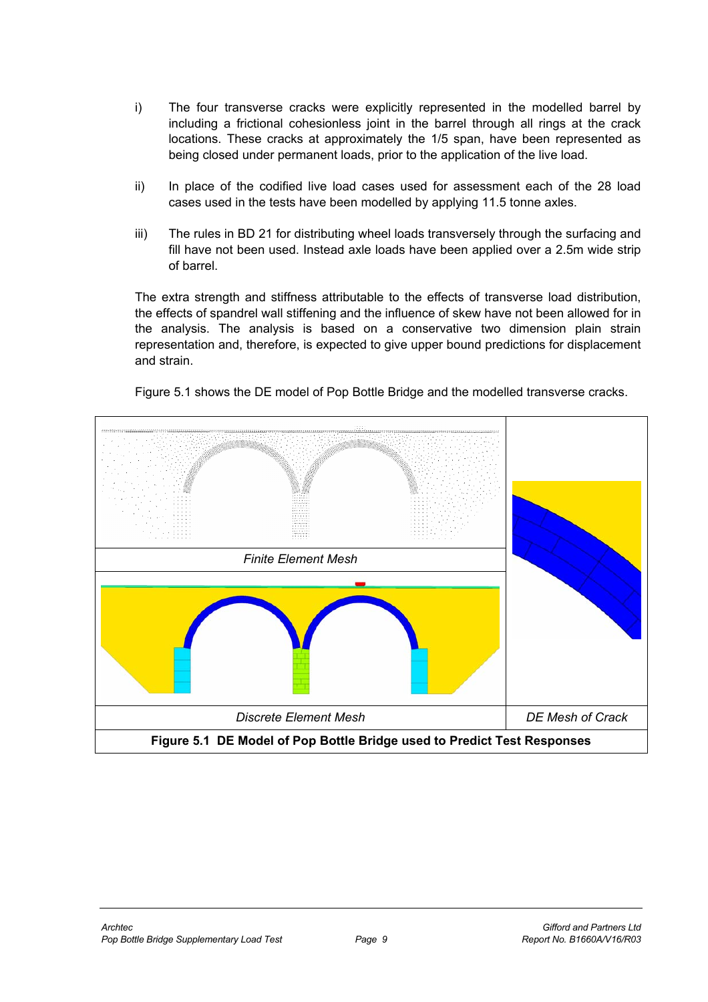- i) The four transverse cracks were explicitly represented in the modelled barrel by including a frictional cohesionless joint in the barrel through all rings at the crack locations. These cracks at approximately the 1/5 span, have been represented as being closed under permanent loads, prior to the application of the live load.
- ii) In place of the codified live load cases used for assessment each of the 28 load cases used in the tests have been modelled by applying 11.5 tonne axles.
- iii) The rules in BD 21 for distributing wheel loads transversely through the surfacing and fill have not been used. Instead axle loads have been applied over a 2.5m wide strip of barrel.

The extra strength and stiffness attributable to the effects of transverse load distribution, the effects of spandrel wall stiffening and the influence of skew have not been allowed for in the analysis. The analysis is based on a conservative two dimension plain strain representation and, therefore, is expected to give upper bound predictions for displacement and strain.



Figure 5.1 shows the DE model of Pop Bottle Bridge and the modelled transverse cracks.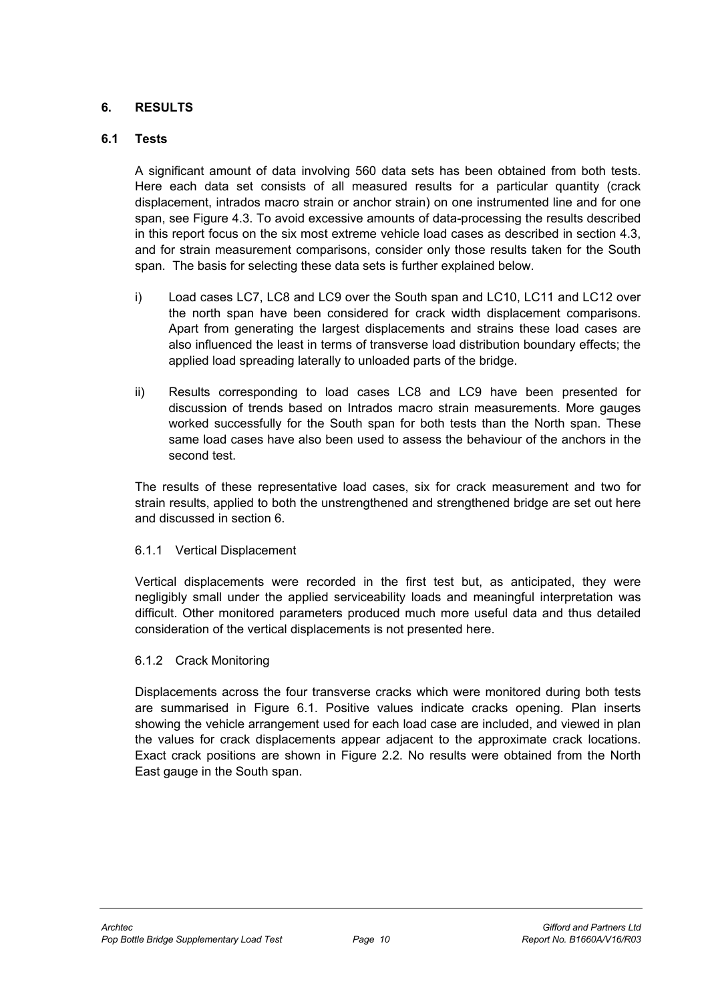# **6. RESULTS**

#### **6.1 Tests**

A significant amount of data involving 560 data sets has been obtained from both tests. Here each data set consists of all measured results for a particular quantity (crack displacement, intrados macro strain or anchor strain) on one instrumented line and for one span, see Figure 4.3. To avoid excessive amounts of data-processing the results described in this report focus on the six most extreme vehicle load cases as described in section 4.3, and for strain measurement comparisons, consider only those results taken for the South span. The basis for selecting these data sets is further explained below.

- i) Load cases LC7, LC8 and LC9 over the South span and LC10, LC11 and LC12 over the north span have been considered for crack width displacement comparisons. Apart from generating the largest displacements and strains these load cases are also influenced the least in terms of transverse load distribution boundary effects; the applied load spreading laterally to unloaded parts of the bridge.
- ii) Results corresponding to load cases LC8 and LC9 have been presented for discussion of trends based on Intrados macro strain measurements. More gauges worked successfully for the South span for both tests than the North span. These same load cases have also been used to assess the behaviour of the anchors in the second test.

The results of these representative load cases, six for crack measurement and two for strain results, applied to both the unstrengthened and strengthened bridge are set out here and discussed in section 6.

#### 6.1.1 Vertical Displacement

Vertical displacements were recorded in the first test but, as anticipated, they were negligibly small under the applied serviceability loads and meaningful interpretation was difficult. Other monitored parameters produced much more useful data and thus detailed consideration of the vertical displacements is not presented here.

#### 6.1.2 Crack Monitoring

Displacements across the four transverse cracks which were monitored during both tests are summarised in Figure 6.1. Positive values indicate cracks opening. Plan inserts showing the vehicle arrangement used for each load case are included, and viewed in plan the values for crack displacements appear adjacent to the approximate crack locations. Exact crack positions are shown in Figure 2.2. No results were obtained from the North East gauge in the South span.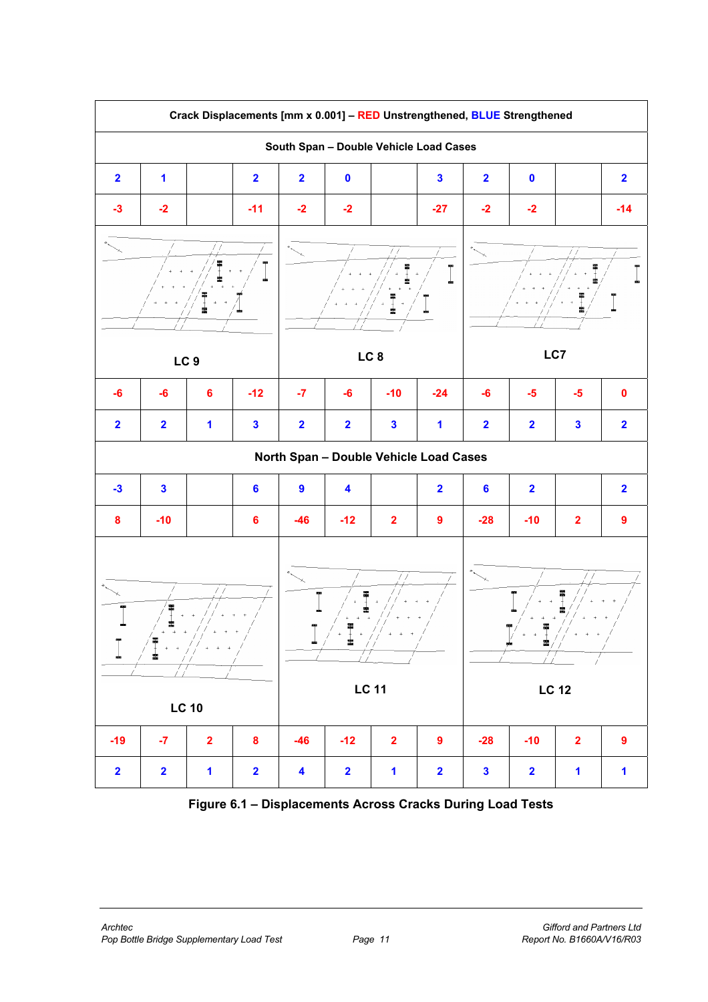

**Figure 6.1 – Displacements Across Cracks During Load Tests**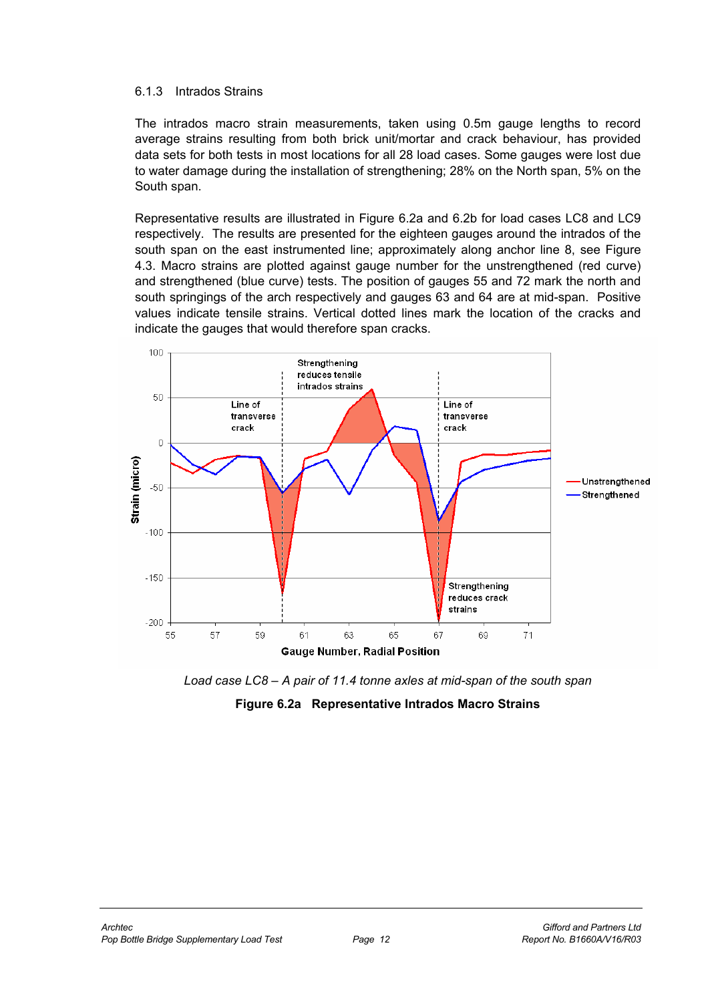#### 6.1.3 Intrados Strains

The intrados macro strain measurements, taken using 0.5m gauge lengths to record average strains resulting from both brick unit/mortar and crack behaviour, has provided data sets for both tests in most locations for all 28 load cases. Some gauges were lost due to water damage during the installation of strengthening; 28% on the North span, 5% on the South span.

Representative results are illustrated in Figure 6.2a and 6.2b for load cases LC8 and LC9 respectively. The results are presented for the eighteen gauges around the intrados of the south span on the east instrumented line; approximately along anchor line 8, see Figure 4.3. Macro strains are plotted against gauge number for the unstrengthened (red curve) and strengthened (blue curve) tests. The position of gauges 55 and 72 mark the north and south springings of the arch respectively and gauges 63 and 64 are at mid-span. Positive values indicate tensile strains. Vertical dotted lines mark the location of the cracks and indicate the gauges that would therefore span cracks.



*Load case LC8 – A pair of 11.4 tonne axles at mid-span of the south span* 

#### **Figure 6.2a Representative Intrados Macro Strains**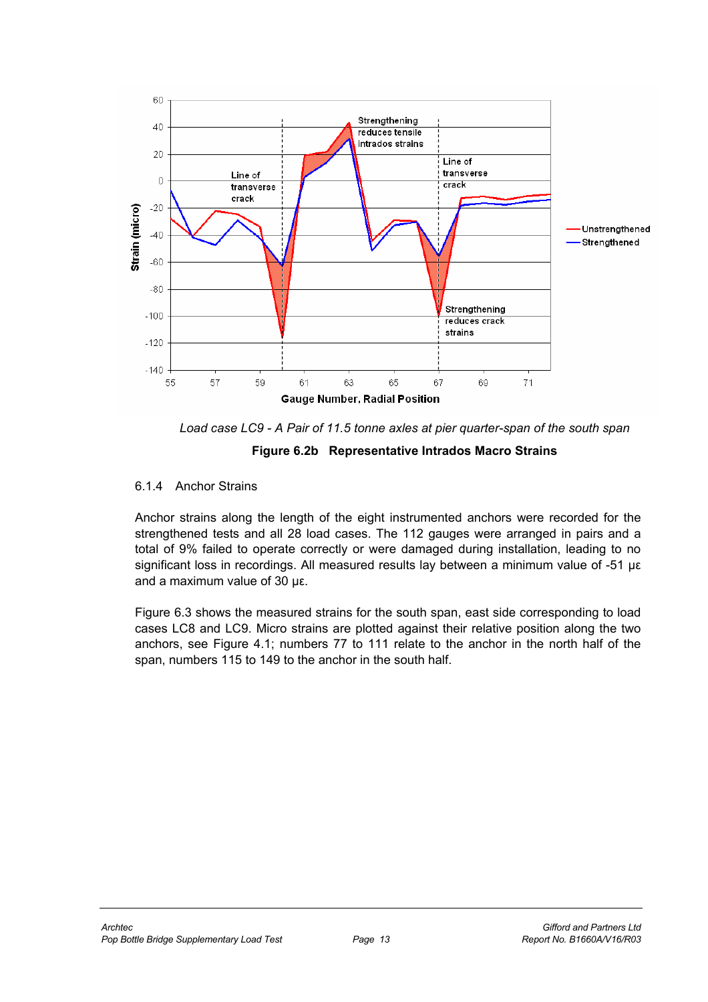



#### **Figure 6.2b Representative Intrados Macro Strains**

#### 6.1.4 Anchor Strains

Anchor strains along the length of the eight instrumented anchors were recorded for the strengthened tests and all 28 load cases. The 112 gauges were arranged in pairs and a total of 9% failed to operate correctly or were damaged during installation, leading to no significant loss in recordings. All measured results lay between a minimum value of -51 µε and a maximum value of 30 µε.

Figure 6.3 shows the measured strains for the south span, east side corresponding to load cases LC8 and LC9. Micro strains are plotted against their relative position along the two anchors, see Figure 4.1; numbers 77 to 111 relate to the anchor in the north half of the span, numbers 115 to 149 to the anchor in the south half.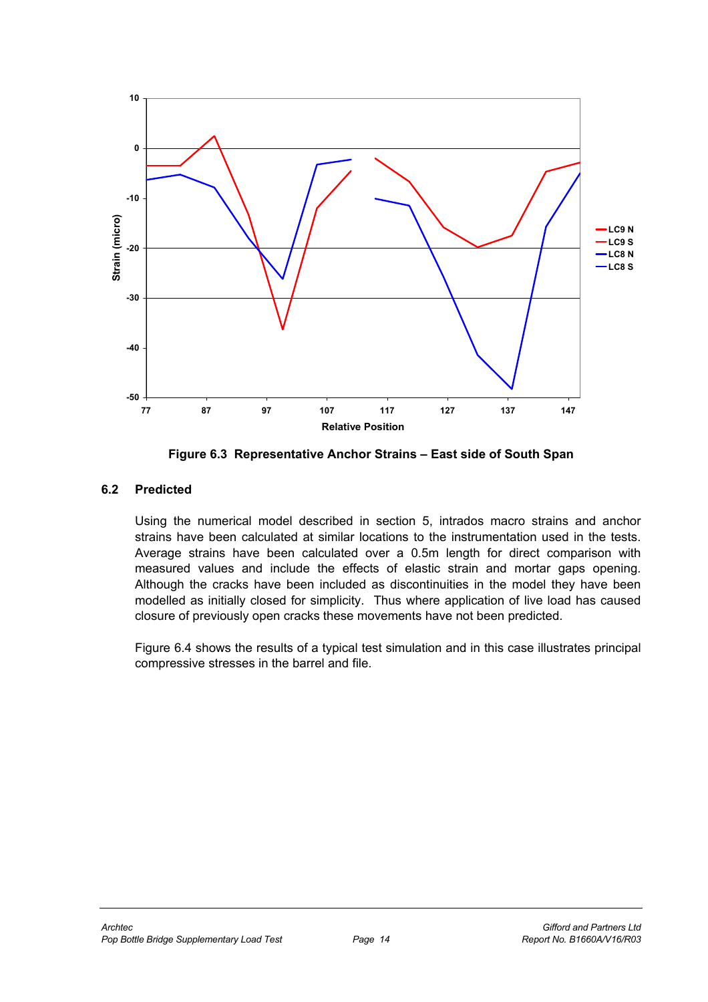

**Figure 6.3 Representative Anchor Strains – East side of South Span** 

# **6.2 Predicted**

Using the numerical model described in section 5, intrados macro strains and anchor strains have been calculated at similar locations to the instrumentation used in the tests. Average strains have been calculated over a 0.5m length for direct comparison with measured values and include the effects of elastic strain and mortar gaps opening. Although the cracks have been included as discontinuities in the model they have been modelled as initially closed for simplicity. Thus where application of live load has caused closure of previously open cracks these movements have not been predicted.

Figure 6.4 shows the results of a typical test simulation and in this case illustrates principal compressive stresses in the barrel and file.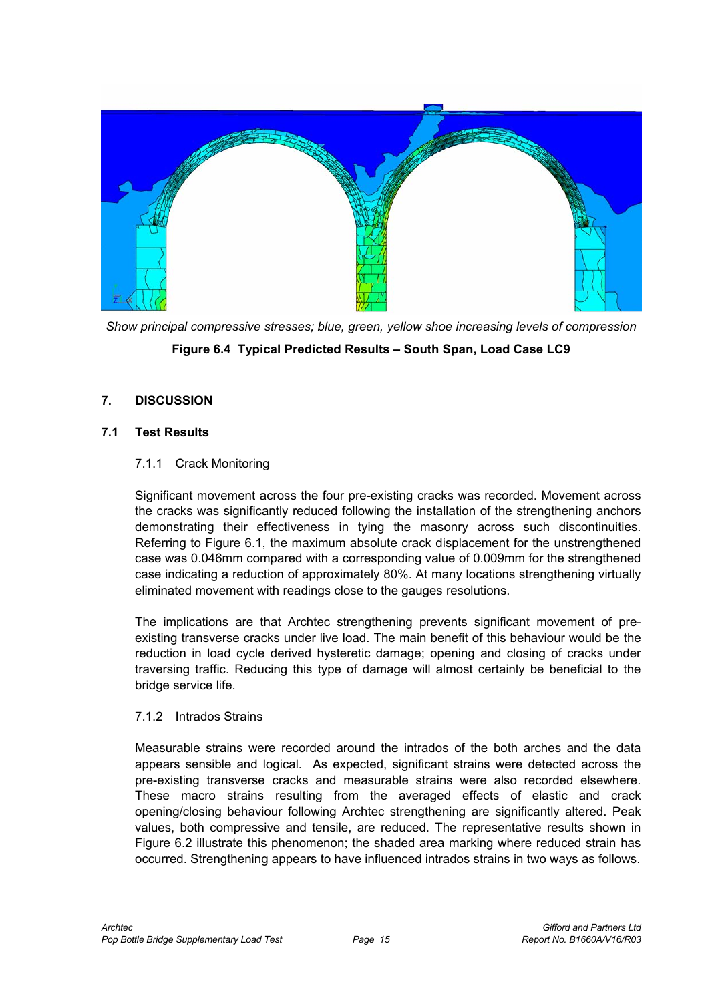

*Show principal compressive stresses; blue, green, yellow shoe increasing levels of compression* 

# **Figure 6.4 Typical Predicted Results – South Span, Load Case LC9**

# **7. DISCUSSION**

#### **7.1 Test Results**

#### 7.1.1 Crack Monitoring

Significant movement across the four pre-existing cracks was recorded. Movement across the cracks was significantly reduced following the installation of the strengthening anchors demonstrating their effectiveness in tying the masonry across such discontinuities. Referring to Figure 6.1, the maximum absolute crack displacement for the unstrengthened case was 0.046mm compared with a corresponding value of 0.009mm for the strengthened case indicating a reduction of approximately 80%. At many locations strengthening virtually eliminated movement with readings close to the gauges resolutions.

The implications are that Archtec strengthening prevents significant movement of preexisting transverse cracks under live load. The main benefit of this behaviour would be the reduction in load cycle derived hysteretic damage; opening and closing of cracks under traversing traffic. Reducing this type of damage will almost certainly be beneficial to the bridge service life.

# 7.1.2 Intrados Strains

Measurable strains were recorded around the intrados of the both arches and the data appears sensible and logical. As expected, significant strains were detected across the pre-existing transverse cracks and measurable strains were also recorded elsewhere. These macro strains resulting from the averaged effects of elastic and crack opening/closing behaviour following Archtec strengthening are significantly altered. Peak values, both compressive and tensile, are reduced. The representative results shown in Figure 6.2 illustrate this phenomenon; the shaded area marking where reduced strain has occurred. Strengthening appears to have influenced intrados strains in two ways as follows.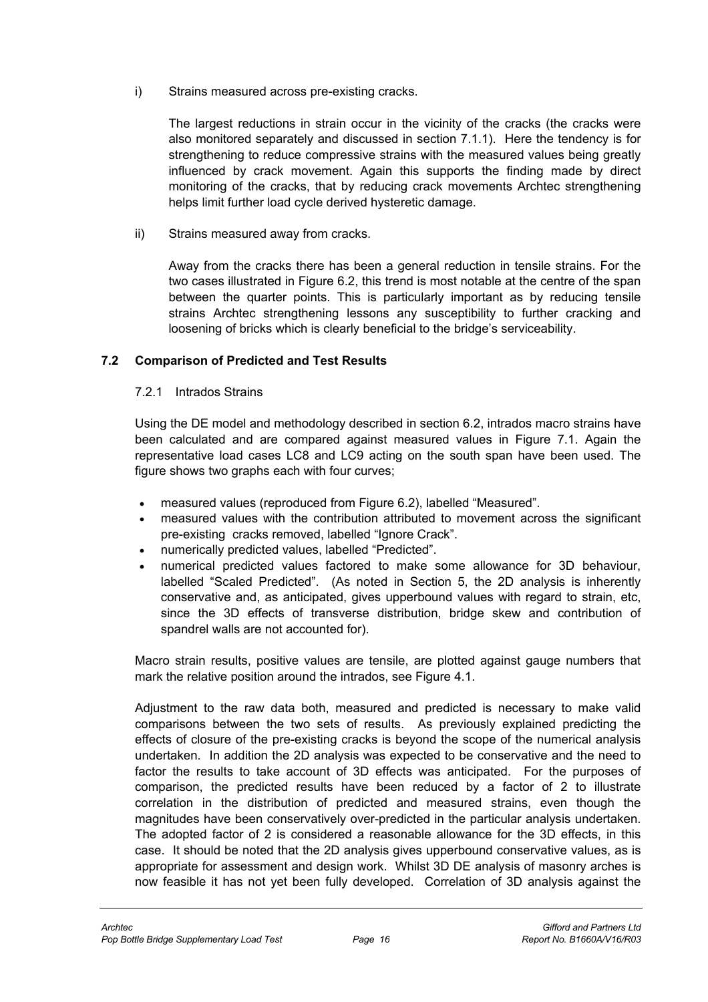i) Strains measured across pre-existing cracks.

The largest reductions in strain occur in the vicinity of the cracks (the cracks were also monitored separately and discussed in section 7.1.1). Here the tendency is for strengthening to reduce compressive strains with the measured values being greatly influenced by crack movement. Again this supports the finding made by direct monitoring of the cracks, that by reducing crack movements Archtec strengthening helps limit further load cycle derived hysteretic damage.

ii) Strains measured away from cracks.

Away from the cracks there has been a general reduction in tensile strains. For the two cases illustrated in Figure 6.2, this trend is most notable at the centre of the span between the quarter points. This is particularly important as by reducing tensile strains Archtec strengthening lessons any susceptibility to further cracking and loosening of bricks which is clearly beneficial to the bridge's serviceability.

# **7.2 Comparison of Predicted and Test Results**

7.2.1 Intrados Strains

Using the DE model and methodology described in section 6.2, intrados macro strains have been calculated and are compared against measured values in Figure 7.1. Again the representative load cases LC8 and LC9 acting on the south span have been used. The figure shows two graphs each with four curves;

- measured values (reproduced from Figure 6.2), labelled "Measured".
- measured values with the contribution attributed to movement across the significant pre-existing cracks removed, labelled "Ignore Crack".
- numerically predicted values, labelled "Predicted".
- numerical predicted values factored to make some allowance for 3D behaviour, labelled "Scaled Predicted". (As noted in Section 5, the 2D analysis is inherently conservative and, as anticipated, gives upperbound values with regard to strain, etc, since the 3D effects of transverse distribution, bridge skew and contribution of spandrel walls are not accounted for).

Macro strain results, positive values are tensile, are plotted against gauge numbers that mark the relative position around the intrados, see Figure 4.1.

Adjustment to the raw data both, measured and predicted is necessary to make valid comparisons between the two sets of results. As previously explained predicting the effects of closure of the pre-existing cracks is beyond the scope of the numerical analysis undertaken. In addition the 2D analysis was expected to be conservative and the need to factor the results to take account of 3D effects was anticipated. For the purposes of comparison, the predicted results have been reduced by a factor of 2 to illustrate correlation in the distribution of predicted and measured strains, even though the magnitudes have been conservatively over-predicted in the particular analysis undertaken. The adopted factor of 2 is considered a reasonable allowance for the 3D effects, in this case. It should be noted that the 2D analysis gives upperbound conservative values, as is appropriate for assessment and design work. Whilst 3D DE analysis of masonry arches is now feasible it has not yet been fully developed. Correlation of 3D analysis against the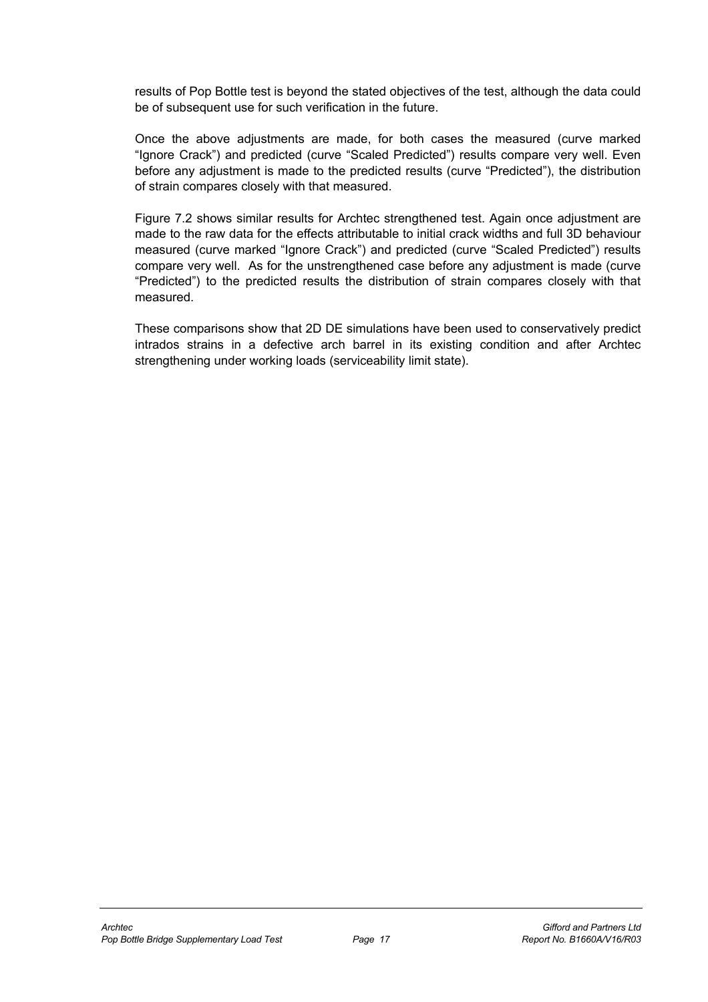results of Pop Bottle test is beyond the stated objectives of the test, although the data could be of subsequent use for such verification in the future.

Once the above adjustments are made, for both cases the measured (curve marked "Ignore Crack") and predicted (curve "Scaled Predicted") results compare very well. Even before any adjustment is made to the predicted results (curve "Predicted"), the distribution of strain compares closely with that measured.

Figure 7.2 shows similar results for Archtec strengthened test. Again once adjustment are made to the raw data for the effects attributable to initial crack widths and full 3D behaviour measured (curve marked "Ignore Crack") and predicted (curve "Scaled Predicted") results compare very well. As for the unstrengthened case before any adjustment is made (curve "Predicted") to the predicted results the distribution of strain compares closely with that measured.

These comparisons show that 2D DE simulations have been used to conservatively predict intrados strains in a defective arch barrel in its existing condition and after Archtec strengthening under working loads (serviceability limit state).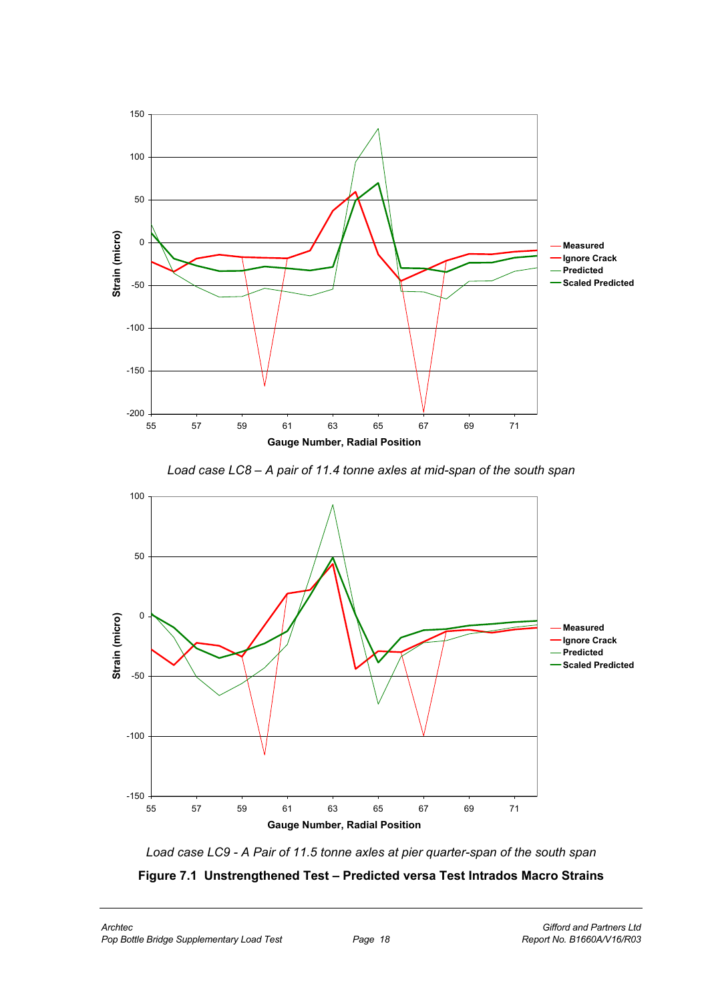

*Load case LC8 – A pair of 11.4 tonne axles at mid-span of the south span*



*Load case LC9 - A Pair of 11.5 tonne axles at pier quarter-span of the south span*

**Figure 7.1 Unstrengthened Test – Predicted versa Test Intrados Macro Strains**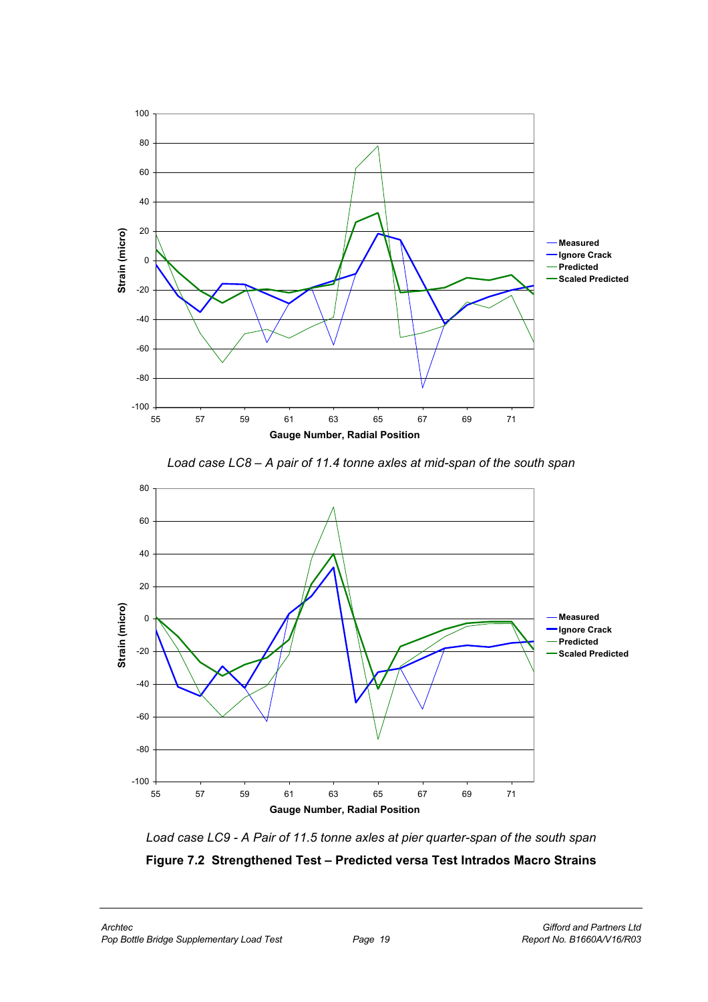





*Load case LC9 - A Pair of 11.5 tonne axles at pier quarter-span of the south span*

**Figure 7.2 Strengthened Test – Predicted versa Test Intrados Macro Strains**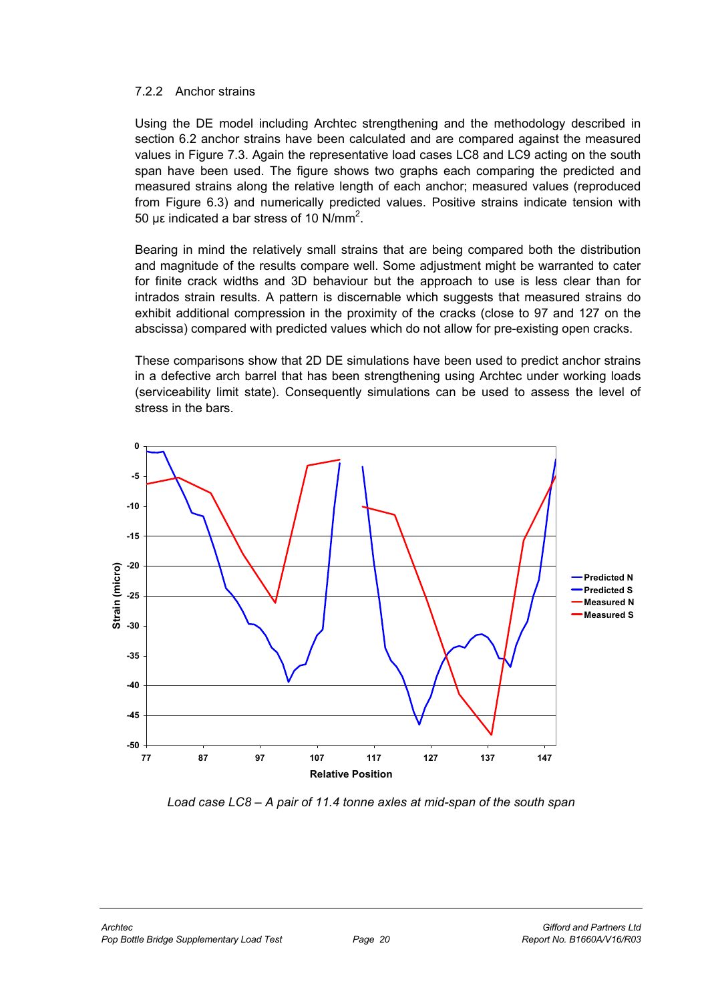#### 7.2.2 Anchor strains

Using the DE model including Archtec strengthening and the methodology described in section 6.2 anchor strains have been calculated and are compared against the measured values in Figure 7.3. Again the representative load cases LC8 and LC9 acting on the south span have been used. The figure shows two graphs each comparing the predicted and measured strains along the relative length of each anchor; measured values (reproduced from Figure 6.3) and numerically predicted values. Positive strains indicate tension with 50 με indicated a bar stress of 10 N/mm<sup>2</sup>.

Bearing in mind the relatively small strains that are being compared both the distribution and magnitude of the results compare well. Some adjustment might be warranted to cater for finite crack widths and 3D behaviour but the approach to use is less clear than for intrados strain results. A pattern is discernable which suggests that measured strains do exhibit additional compression in the proximity of the cracks (close to 97 and 127 on the abscissa) compared with predicted values which do not allow for pre-existing open cracks.

These comparisons show that 2D DE simulations have been used to predict anchor strains in a defective arch barrel that has been strengthening using Archtec under working loads (serviceability limit state). Consequently simulations can be used to assess the level of stress in the bars.



*Load case LC8 – A pair of 11.4 tonne axles at mid-span of the south span*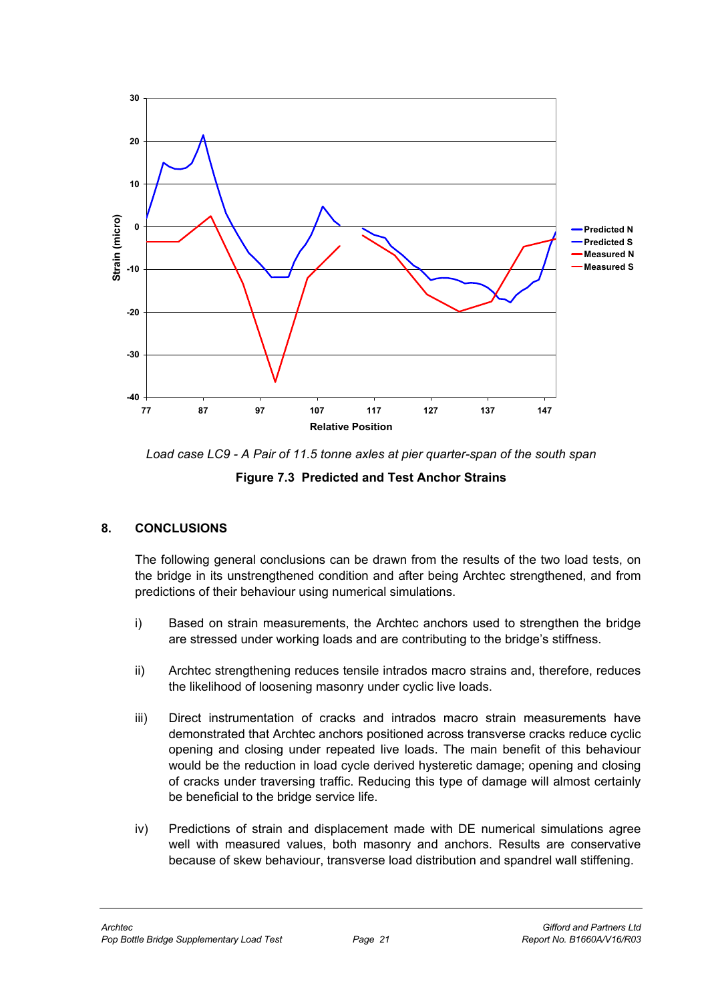



**Figure 7.3 Predicted and Test Anchor Strains**

# **8. CONCLUSIONS**

The following general conclusions can be drawn from the results of the two load tests, on the bridge in its unstrengthened condition and after being Archtec strengthened, and from predictions of their behaviour using numerical simulations.

- i) Based on strain measurements, the Archtec anchors used to strengthen the bridge are stressed under working loads and are contributing to the bridge's stiffness.
- ii) Archtec strengthening reduces tensile intrados macro strains and, therefore, reduces the likelihood of loosening masonry under cyclic live loads.
- iii) Direct instrumentation of cracks and intrados macro strain measurements have demonstrated that Archtec anchors positioned across transverse cracks reduce cyclic opening and closing under repeated live loads. The main benefit of this behaviour would be the reduction in load cycle derived hysteretic damage; opening and closing of cracks under traversing traffic. Reducing this type of damage will almost certainly be beneficial to the bridge service life.
- iv) Predictions of strain and displacement made with DE numerical simulations agree well with measured values, both masonry and anchors. Results are conservative because of skew behaviour, transverse load distribution and spandrel wall stiffening.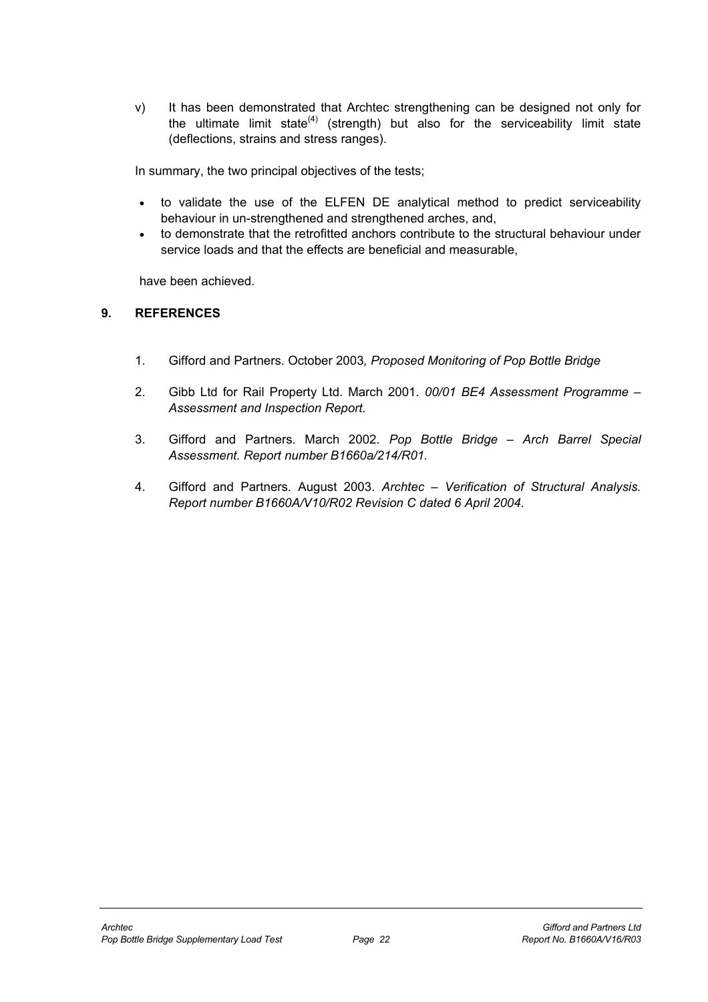v) It has been demonstrated that Archtec strengthening can be designed not only for the ultimate limit state $(4)$  (strength) but also for the serviceability limit state (deflections, strains and stress ranges).

In summary, the two principal objectives of the tests;

- to validate the use of the ELFEN DE analytical method to predict serviceability behaviour in un-strengthened and strengthened arches, and,
- to demonstrate that the retrofitted anchors contribute to the structural behaviour under service loads and that the effects are beneficial and measurable,

have been achieved.

#### **9. REFERENCES**

- 1. Gifford and Partners. October 2003*, Proposed Monitoring of Pop Bottle Bridge*
- 2. Gibb Ltd for Rail Property Ltd. March 2001. *00/01 BE4 Assessment Programme Assessment and Inspection Report.*
- 3. Gifford and Partners. March 2002*. Pop Bottle Bridge Arch Barrel Special Assessment. Report number B1660a/214/R01.*
- 4. Gifford and Partners. August 2003. *Archtec Verification of Structural Analysis. Report number B1660A/V10/R02 Revision C dated 6 April 2004.*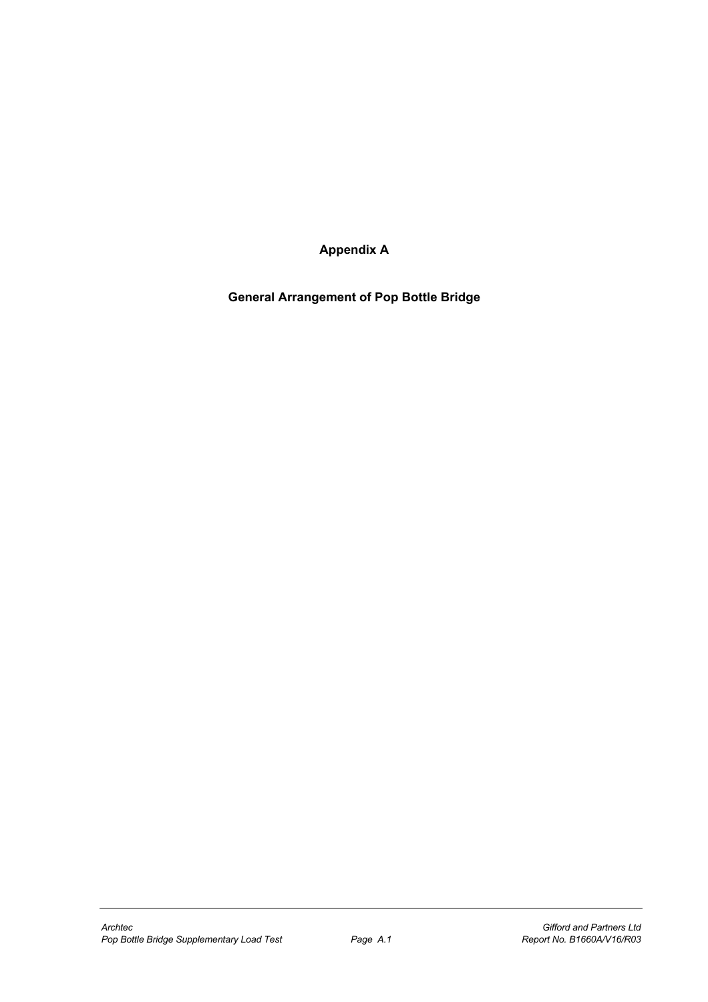**Appendix A** 

**General Arrangement of Pop Bottle Bridge**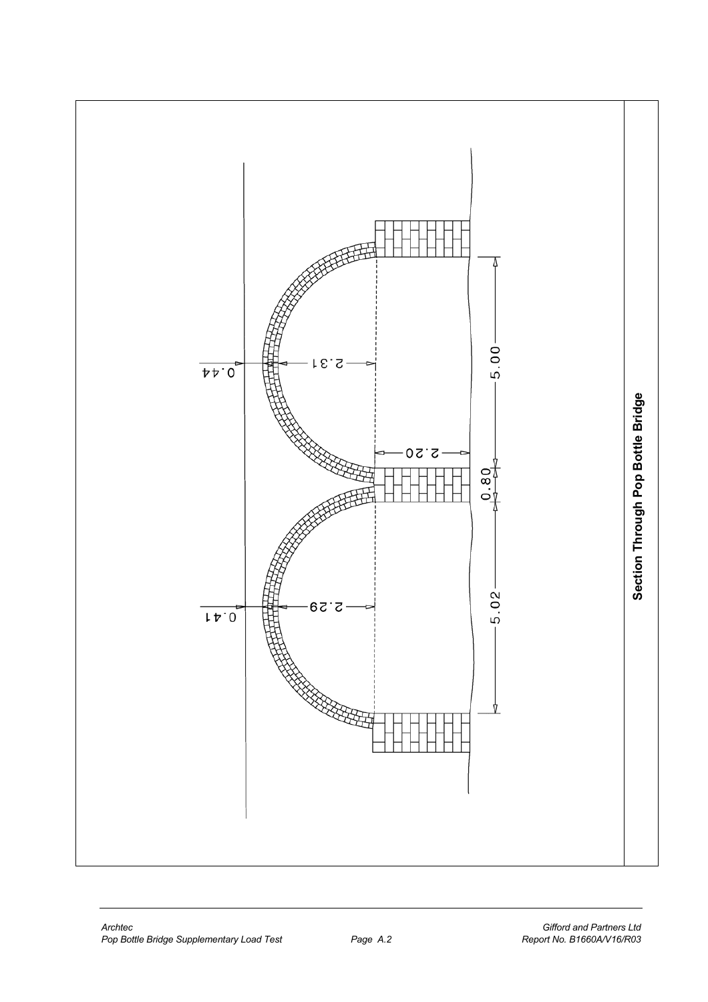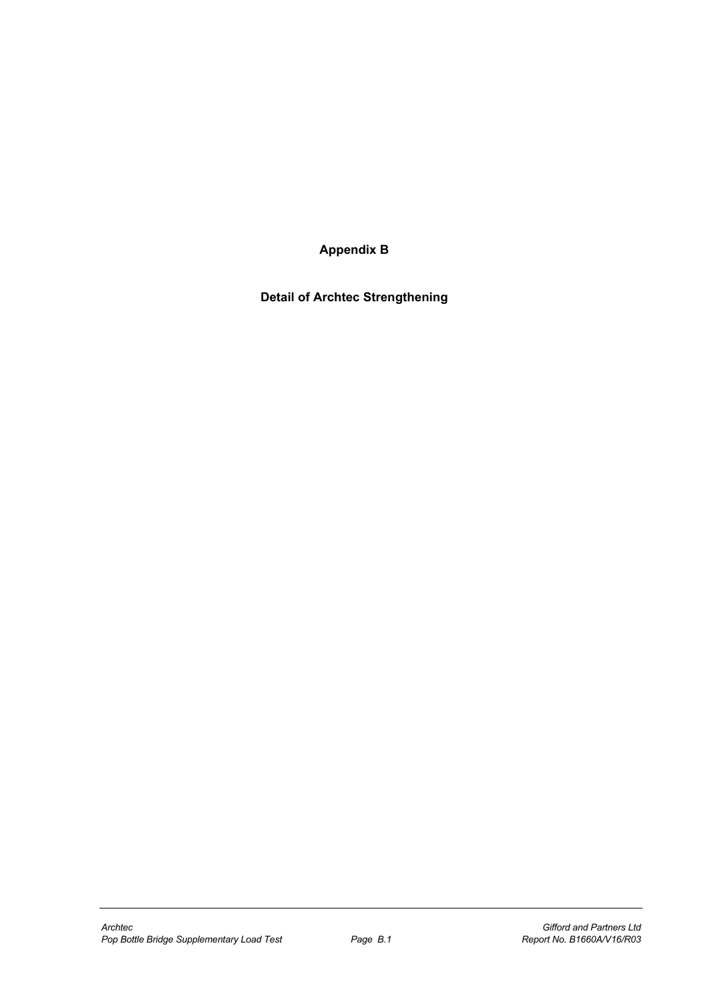**Appendix B** 

**Detail of Archtec Strengthening**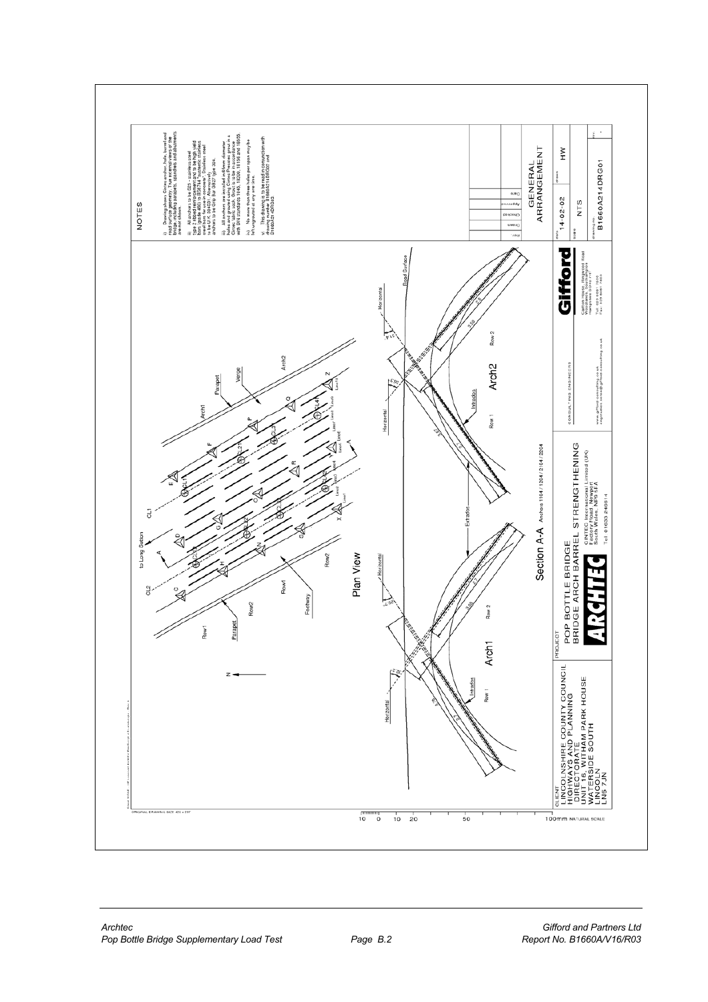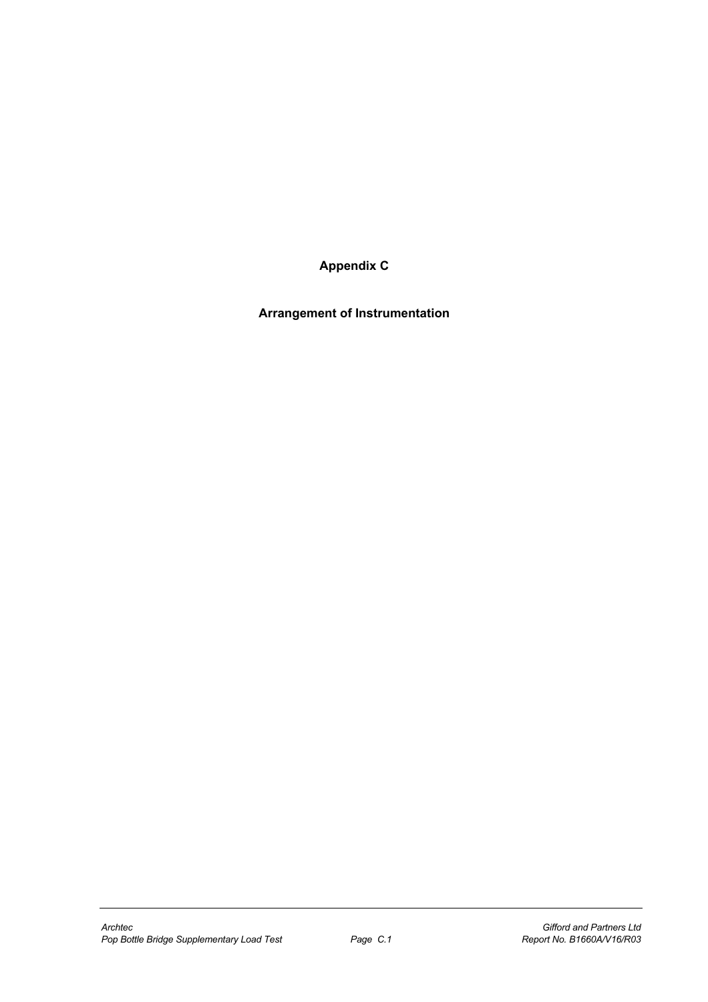**Appendix C** 

**Arrangement of Instrumentation**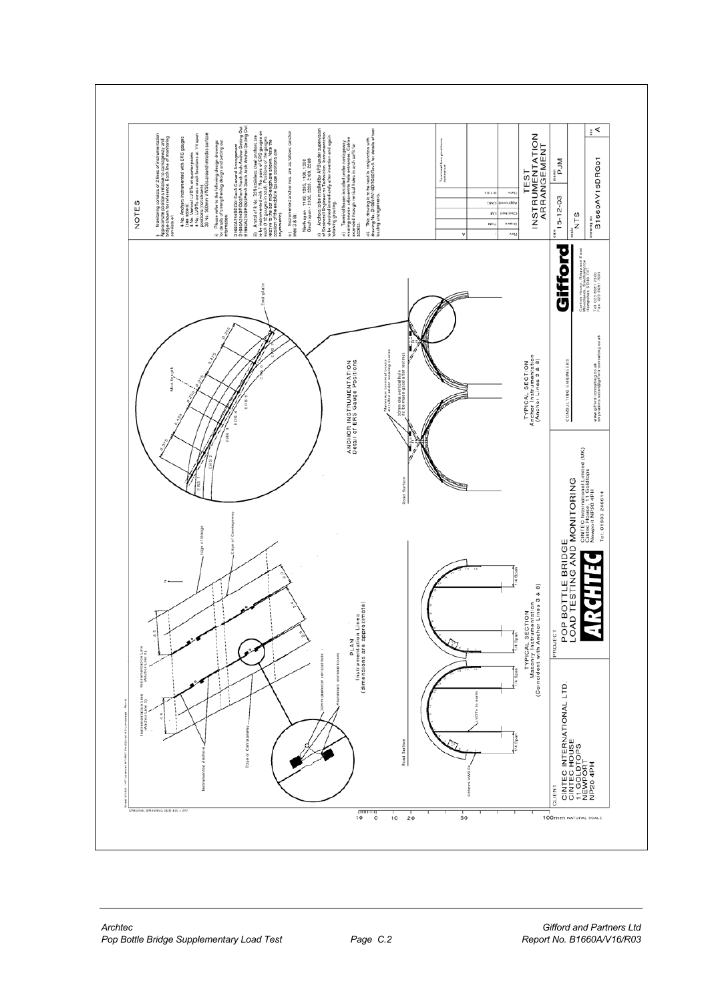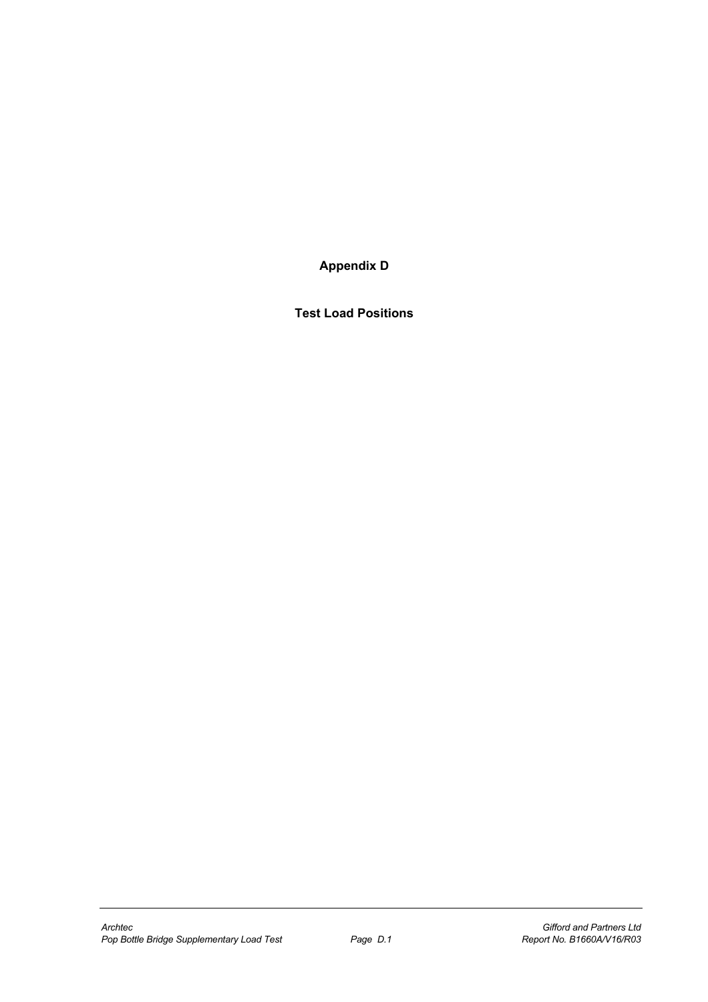**Appendix D** 

**Test Load Positions**